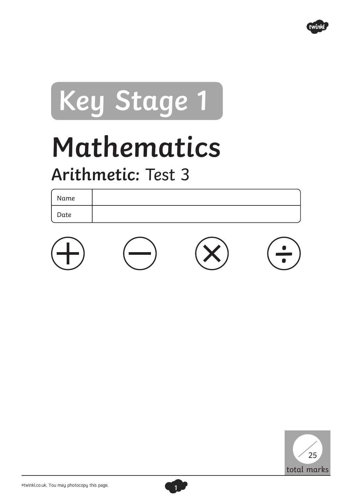

## **Key Stage 1**

## **Mathematics**

## **Arithmetic:** Test 3

Name Date





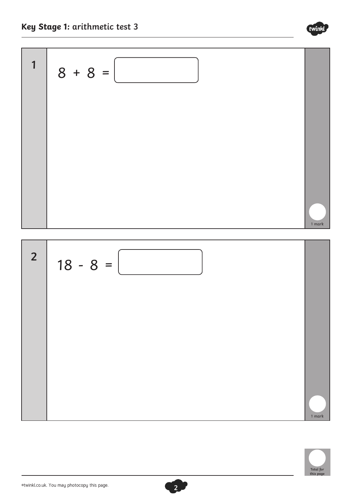





twinkl

©twinkl.co.uk. You may photocopy this page.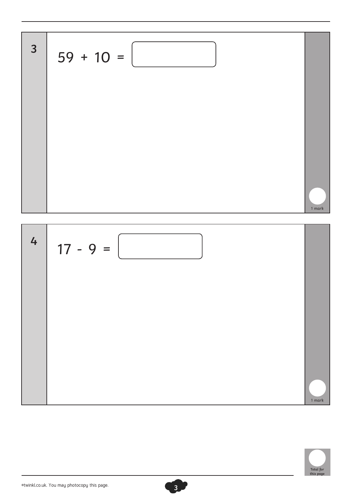

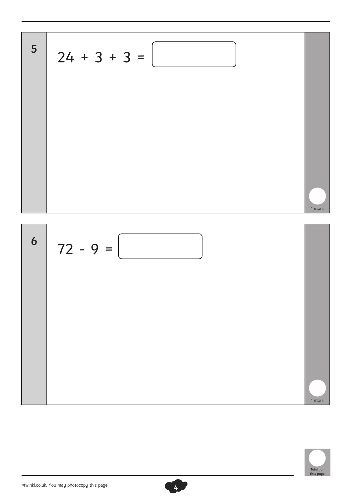$$
24 + 3 + 3 =
$$



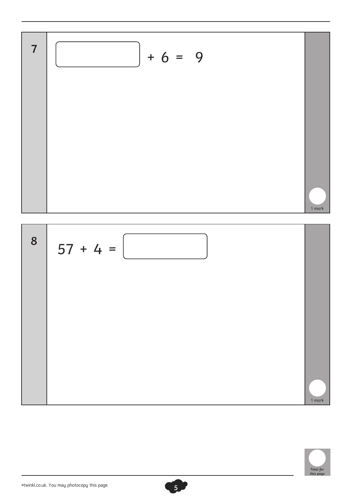

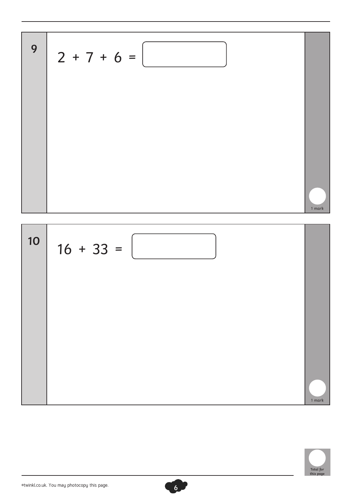



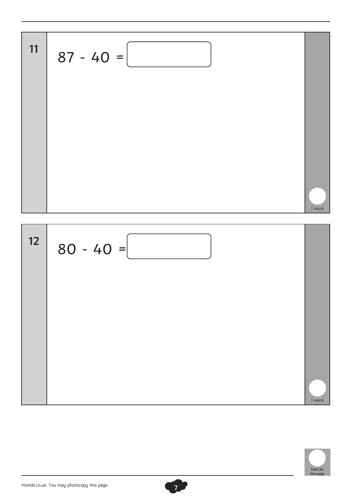$$
87 - 40 =
$$



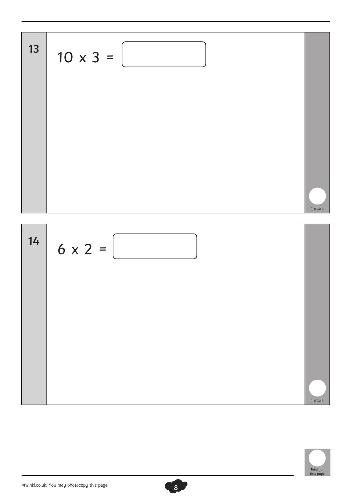



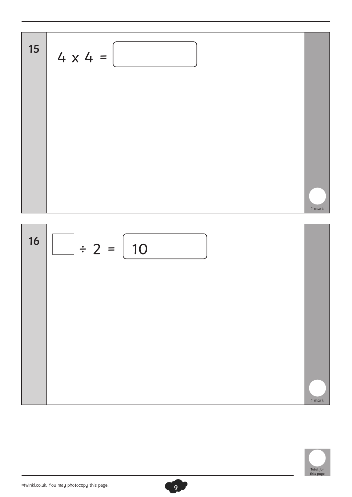**<sup>15</sup>** 4 x 4 = **<sup>16</sup>** ÷ 2 = 10 1 mark 1 mark

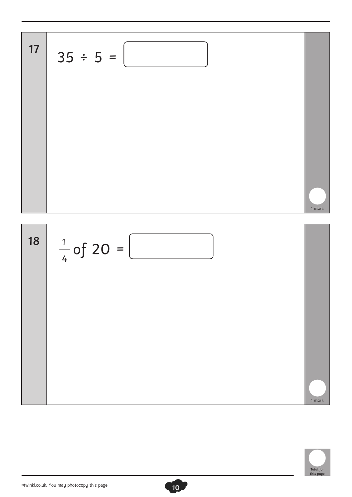



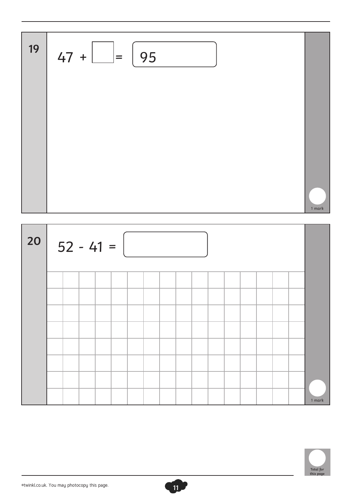

| 20 | $52 - 41 =$ |  |  |  |  |  |  |  |  |  |  |  |  |  |        |
|----|-------------|--|--|--|--|--|--|--|--|--|--|--|--|--|--------|
|    |             |  |  |  |  |  |  |  |  |  |  |  |  |  |        |
|    |             |  |  |  |  |  |  |  |  |  |  |  |  |  |        |
|    |             |  |  |  |  |  |  |  |  |  |  |  |  |  |        |
|    |             |  |  |  |  |  |  |  |  |  |  |  |  |  |        |
|    |             |  |  |  |  |  |  |  |  |  |  |  |  |  |        |
|    |             |  |  |  |  |  |  |  |  |  |  |  |  |  |        |
|    |             |  |  |  |  |  |  |  |  |  |  |  |  |  |        |
|    |             |  |  |  |  |  |  |  |  |  |  |  |  |  | 1 mark |



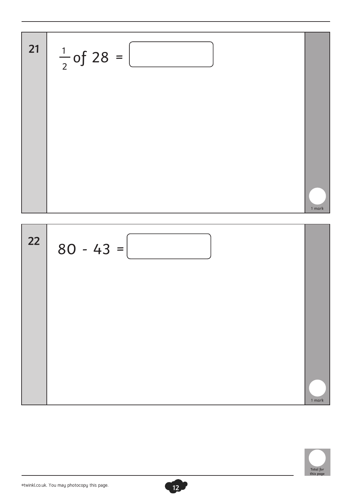$$
\begin{array}{|c|c|}\n\hline\n21 & \frac{1}{2} \text{ of } 28 = \boxed{22} \\
\hline\n22 & 80 - 43 = \boxed{22} \\
\hline\n\end{array}
$$

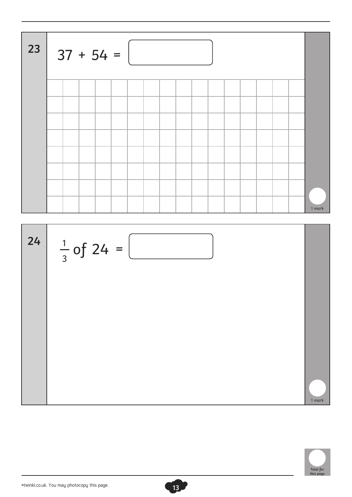$$
37 + 54 =
$$

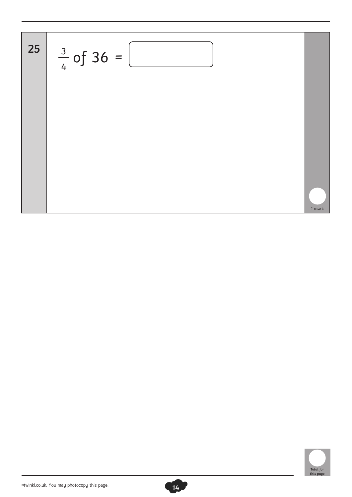